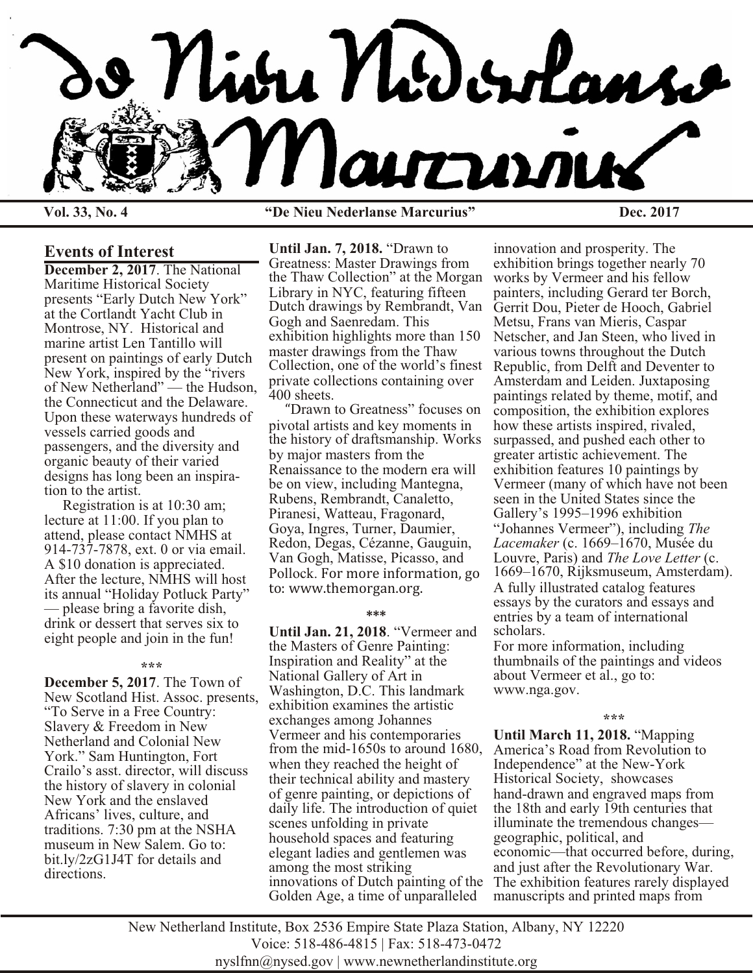

**Vol. 33, No. 4 "De Nieu Nederlanse Marcurius" Dec. 2017**

### **Events of Interest**

**December 2, 2017**. The National Maritime Historical Society presents "Early Dutch New York" at the Cortlandt Yacht Club in Montrose, NY. Historical and marine artist Len Tantillo will present on paintings of early Dutch New York, inspired by the "rivers of New Netherland" — the Hudson, the Connecticut and the Delaware. Upon these waterways hundreds of vessels carried goods and passengers, and the diversity and organic beauty of their varied designs has long been an inspiration to the artist.

 Registration is at 10:30 am; lecture at 11:00. If you plan to attend, please contact NMHS at 914-737-7878, ext. 0 or via email. A \$10 donation is appreciated. After the lecture, NMHS will host its annual "Holiday Potluck Party" — please bring a favorite dish, drink or dessert that serves six to eight people and join in the fun!

#### **\*\*\***

**December 5, 2017**. The Town of New Scotland Hist. Assoc. presents, "To Serve in a Free Country: Slavery & Freedom in New Netherland and Colonial New York." Sam Huntington, Fort Crailo's asst. director, will discuss the history of slavery in colonial New York and the enslaved Africans' lives, culture, and traditions. 7:30 pm at the NSHA museum in New Salem. Go to: bit.ly/2zG1J4T for details and directions.

**Until Jan. 7, 2018.** "Drawn to Greatness: Master Drawings from the Thaw Collection" at the Morgan Library in NYC, featuring fifteen Dutch drawings by Rembrandt, Van Gogh and Saenredam. This exhibition highlights more than 150 master drawings from the Thaw Collection, one of the world's finest private collections containing over 400 sheets.

 "Drawn to Greatness" focuses on pivotal artists and key moments in the history of draftsmanship. Works by major masters from the Renaissance to the modern era will be on view, including Mantegna, Rubens, Rembrandt, Canaletto, Piranesi, Watteau, Fragonard, Goya, Ingres, Turner, Daumier, Redon, Degas, Cézanne, Gauguin, Van Gogh, Matisse, Picasso, and Pollock. For more information, go to: www.themorgan.org.

### **\*\*\***

**Until Jan. 21, 2018**. "Vermeer and the Masters of Genre Painting: Inspiration and Reality" at the National Gallery of Art in Washington, D.C. This landmark exhibition examines the artistic exchanges among Johannes Vermeer and his contemporaries from the mid-1650s to around 1680, when they reached the height of their technical ability and mastery of genre painting, or depictions of daily life. The introduction of quiet scenes unfolding in private household spaces and featuring elegant ladies and gentlemen was among the most striking innovations of Dutch painting of the Golden Age, a time of unparalleled

innovation and prosperity. The exhibition brings together nearly 70 works by Vermeer and his fellow painters, including Gerard ter Borch, Gerrit Dou, Pieter de Hooch, Gabriel Metsu, Frans van Mieris, Caspar Netscher, and Jan Steen, who lived in various towns throughout the Dutch Republic, from Delft and Deventer to Amsterdam and Leiden. Juxtaposing paintings related by theme, motif, and composition, the exhibition explores how these artists inspired, rivaled, surpassed, and pushed each other to greater artistic achievement. The exhibition features 10 paintings by Vermeer (many of which have not been seen in the United States since the Gallery's 1995–1996 exhibition "Johannes Vermeer"), including *The Lacemaker* (c. 1669–1670, Musée du Louvre, Paris) and *The Love Letter* (c. 1669–1670, Rijksmuseum, Amsterdam). A fully illustrated catalog features essays by the curators and essays and entries by a team of international scholars.

For more information, including thumbnails of the paintings and videos about Vermeer et al., go to: www.nga.gov.

#### **\*\*\***

**Until March 11, 2018.** "Mapping America's Road from Revolution to Independence" at the New-York Historical Society, showcases hand-drawn and engraved maps from the 18th and early 19th centuries that illuminate the tremendous changes geographic, political, and economic—that occurred before, during, and just after the Revolutionary War. The exhibition features rarely displayed manuscripts and printed maps from

New Netherland Institute, Box 2536 Empire State Plaza Station, Albany, NY 12220 Voice: 518-486-4815 | Fax: 518-473-0472 nyslfnn@nysed.gov | www.newnetherlandinstitute.org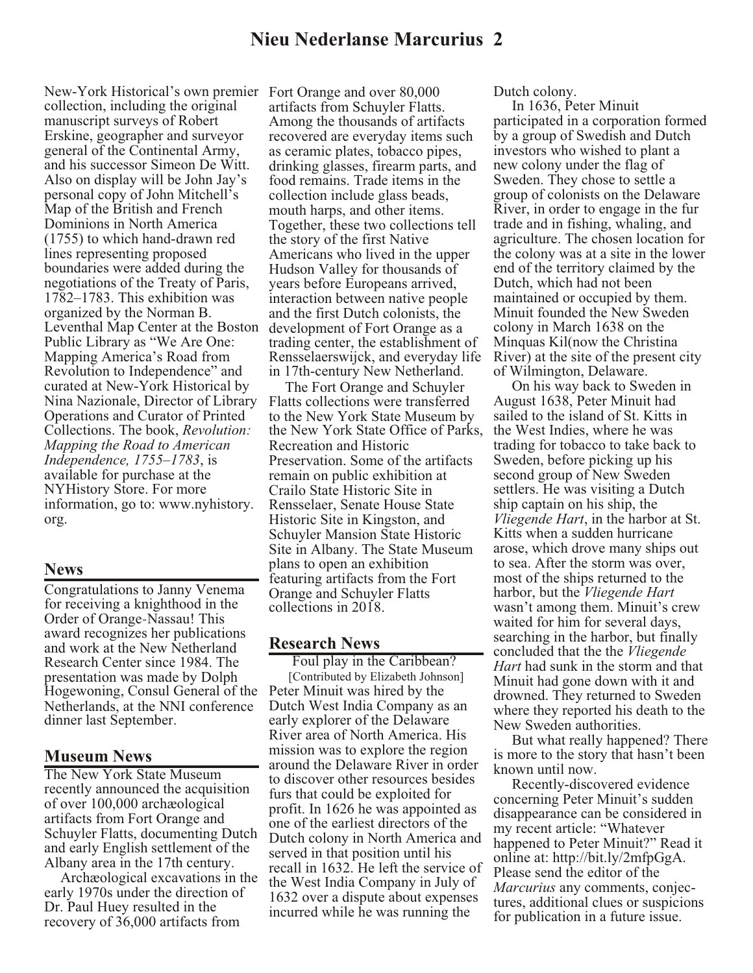New-York Historical's own premier Fort Orange and over 80,000 collection, including the original manuscript surveys of Robert Erskine, geographer and surveyor general of the Continental Army, and his successor Simeon De Witt. Also on display will be John Jay's personal copy of John Mitchell's Map of the British and French Dominions in North America (1755) to which hand-drawn red lines representing proposed boundaries were added during the negotiations of the Treaty of Paris, 1782–1783. This exhibition was organized by the Norman B. Leventhal Map Center at the Boston Public Library as "We Are One: Mapping America's Road from Revolution to Independence" and curated at New-York Historical by Nina Nazionale, Director of Library Operations and Curator of Printed Collections. The book, *Revolution: Mapping the Road to American Independence, 1755–1783*, is available for purchase at the NYHistory Store. For more information, go to: www.nyhistory. org.

### **News**

Congratulations to Janny Venema for receiving a knighthood in the Order of Orange-Nassau! This award recognizes her publications and work at the New Netherland Research Center since 1984. The presentation was made by Dolph Hogewoning, Consul General of the Peter Minuit was hired by the Netherlands, at the NNI conference dinner last September.

### **Museum News**

The New York State Museum recently announced the acquisition of over 100,000 archæological artifacts from Fort Orange and Schuyler Flatts, documenting Dutch and early English settlement of the Albany area in the 17th century.

 Archæological excavations in the early 1970s under the direction of Dr. Paul Huey resulted in the recovery of 36,000 artifacts from

artifacts from Schuyler Flatts. Among the thousands of artifacts recovered are everyday items such as ceramic plates, tobacco pipes, drinking glasses, firearm parts, and food remains. Trade items in the collection include glass beads, mouth harps, and other items. Together, these two collections tell the story of the first Native Americans who lived in the upper Hudson Valley for thousands of years before Europeans arrived, interaction between native people and the first Dutch colonists, the development of Fort Orange as a trading center, the establishment of Rensselaerswijck, and everyday life in 17th-century New Netherland.

 The Fort Orange and Schuyler Flatts collections were transferred to the New York State Museum by the New York State Office of Parks, Recreation and Historic Preservation. Some of the artifacts remain on public exhibition at Crailo State Historic Site in Rensselaer, Senate House State Historic Site in Kingston, and Schuyler Mansion State Historic Site in Albany. The State Museum plans to open an exhibition featuring artifacts from the Fort Orange and Schuyler Flatts collections in 2018.

## **Research News**

Foul play in the Caribbean? [Contributed by Elizabeth Johnson] Dutch West India Company as an early explorer of the Delaware River area of North America. His mission was to explore the region around the Delaware River in order to discover other resources besides furs that could be exploited for profit. In 1626 he was appointed as one of the earliest directors of the Dutch colony in North America and served in that position until his recall in 1632. He left the service of the West India Company in July of 1632 over a dispute about expenses incurred while he was running the

Dutch colony.

 In 1636, Peter Minuit participated in a corporation formed by a group of Swedish and Dutch investors who wished to plant a new colony under the flag of Sweden. They chose to settle a group of colonists on the Delaware River, in order to engage in the fur trade and in fishing, whaling, and agriculture. The chosen location for the colony was at a site in the lower end of the territory claimed by the Dutch, which had not been maintained or occupied by them. Minuit founded the New Sweden colony in March 1638 on the Minquas Kil(now the Christina River) at the site of the present city of Wilmington, Delaware.

 On his way back to Sweden in August 1638, Peter Minuit had sailed to the island of St. Kitts in the West Indies, where he was trading for tobacco to take back to Sweden, before picking up his second group of New Sweden settlers. He was visiting a Dutch ship captain on his ship, the *Vliegende Hart*, in the harbor at St. Kitts when a sudden hurricane arose, which drove many ships out to sea. After the storm was over, most of the ships returned to the harbor, but the *Vliegende Hart* wasn't among them. Minuit's crew waited for him for several days, searching in the harbor, but finally concluded that the the *Vliegende Hart* had sunk in the storm and that Minuit had gone down with it and drowned. They returned to Sweden where they reported his death to the New Sweden authorities.

 But what really happened? There is more to the story that hasn't been known until now.

 Recently-discovered evidence concerning Peter Minuit's sudden disappearance can be considered in my recent article: "Whatever happened to Peter Minuit?" Read it online at: http://bit.ly/2mfpGgA. Please send the editor of the *Marcurius* any comments, conjectures, additional clues or suspicions for publication in a future issue.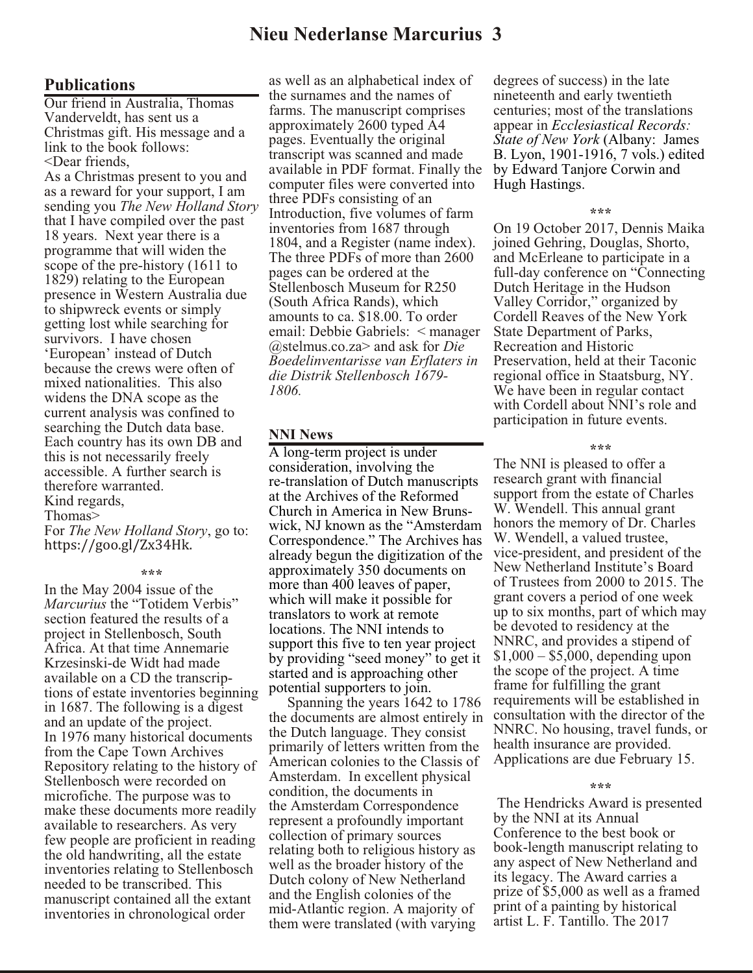# **Nieu Nederlanse Marcurius 3**

### **Publications**

Our friend in Australia, Thomas Vanderveldt, has sent us a Christmas gift. His message and a link to the book follows: <Dear friends,

As a Christmas present to you and as a reward for your support, I am sending you *The New Holland Story*  that I have compiled over the past 18 years. Next year there is a programme that will widen the scope of the pre-history (1611 to 1829) relating to the European presence in Western Australia due to shipwreck events or simply getting lost while searching for survivors. I have chosen 'European' instead of Dutch because the crews were often of mixed nationalities. This also widens the DNA scope as the current analysis was confined to searching the Dutch data base. Each country has its own DB and this is not necessarily freely accessible. A further search is therefore warranted. Kind regards,

### Thomas>

For *The New Holland Story*, go to: https://goo.gl/Zx34Hk.

#### **\*\*\***

In the May 2004 issue of the *Marcurius* the "Totidem Verbis" section featured the results of a project in Stellenbosch, South Africa. At that time Annemarie Krzesinski-de Widt had made available on a CD the transcriptions of estate inventories beginning in 1687. The following is a digest and an update of the project. In 1976 many historical documents from the Cape Town Archives Repository relating to the history of Stellenbosch were recorded on microfiche. The purpose was to make these documents more readily available to researchers. As very few people are proficient in reading the old handwriting, all the estate inventories relating to Stellenbosch needed to be transcribed. This manuscript contained all the extant inventories in chronological order

as well as an alphabetical index of the surnames and the names of farms. The manuscript comprises approximately 2600 typed A4 pages. Eventually the original transcript was scanned and made available in PDF format. Finally the computer files were converted into three PDFs consisting of an Introduction, five volumes of farm inventories from 1687 through 1804, and a Register (name index). The three PDFs of more than 2600 pages can be ordered at the Stellenbosch Museum for R250 (South Africa Rands), which amounts to ca. \$18.00. To order email: Debbie Gabriels: < manager @stelmus.co.za> and ask for *Die Boedelinventarisse van Erflaters in die Distrik Stellenbosch 1679- 1806.*

### **NNI News**

A long-term project is under consideration, involving the re-translation of Dutch manuscripts at the Archives of the Reformed Church in America in New Brunswick, NJ known as the "Amsterdam Correspondence." The Archives has already begun the digitization of the approximately 350 documents on more than 400 leaves of paper, which will make it possible for translators to work at remote locations. The NNI intends to support this five to ten year project by providing "seed money" to get it started and is approaching other potential supporters to join.

 Spanning the years 1642 to 1786 the documents are almost entirely in the Dutch language. They consist primarily of letters written from the American colonies to the Classis of Amsterdam. In excellent physical condition, the documents in the Amsterdam Correspondence represent a profoundly important collection of primary sources relating both to religious history as well as the broader history of the Dutch colony of New Netherland and the English colonies of the mid-Atlantic region. A majority of them were translated (with varying

degrees of success) in the late nineteenth and early twentieth centuries; most of the translations appear in *Ecclesiastical Records: State of New York* (Albany: James B. Lyon, 1901-1916, 7 vols.) edited by Edward Tanjore Corwin and Hugh Hastings.

#### **\*\*\***

On 19 October 2017, Dennis Maika joined Gehring, Douglas, Shorto, and McErleane to participate in a full-day conference on "Connecting Dutch Heritage in the Hudson Valley Corridor," organized by Cordell Reaves of the New York State Department of Parks, Recreation and Historic Preservation, held at their Taconic regional office in Staatsburg, NY. We have been in regular contact with Cordell about NNI's role and participation in future events.

### **\*\*\***

The NNI is pleased to offer a research grant with financial support from the estate of Charles W. Wendell. This annual grant honors the memory of Dr. Charles W. Wendell, a valued trustee, vice-president, and president of the New Netherland Institute's Board of Trustees from 2000 to 2015. The grant covers a period of one week up to six months, part of which may be devoted to residency at the NNRC, and provides a stipend of \$1,000 – \$5,000, depending upon the scope of the project. A time frame for fulfilling the grant requirements will be established in consultation with the director of the NNRC. No housing, travel funds, or health insurance are provided. Applications are due February 15.

#### **\*\*\***

 The Hendricks Award is presented by the NNI at its Annual Conference to the best book or book-length manuscript relating to any aspect of New Netherland and its legacy. The Award carries a prize of \$5,000 as well as a framed print of a painting by historical artist L. F. Tantillo. The 2017